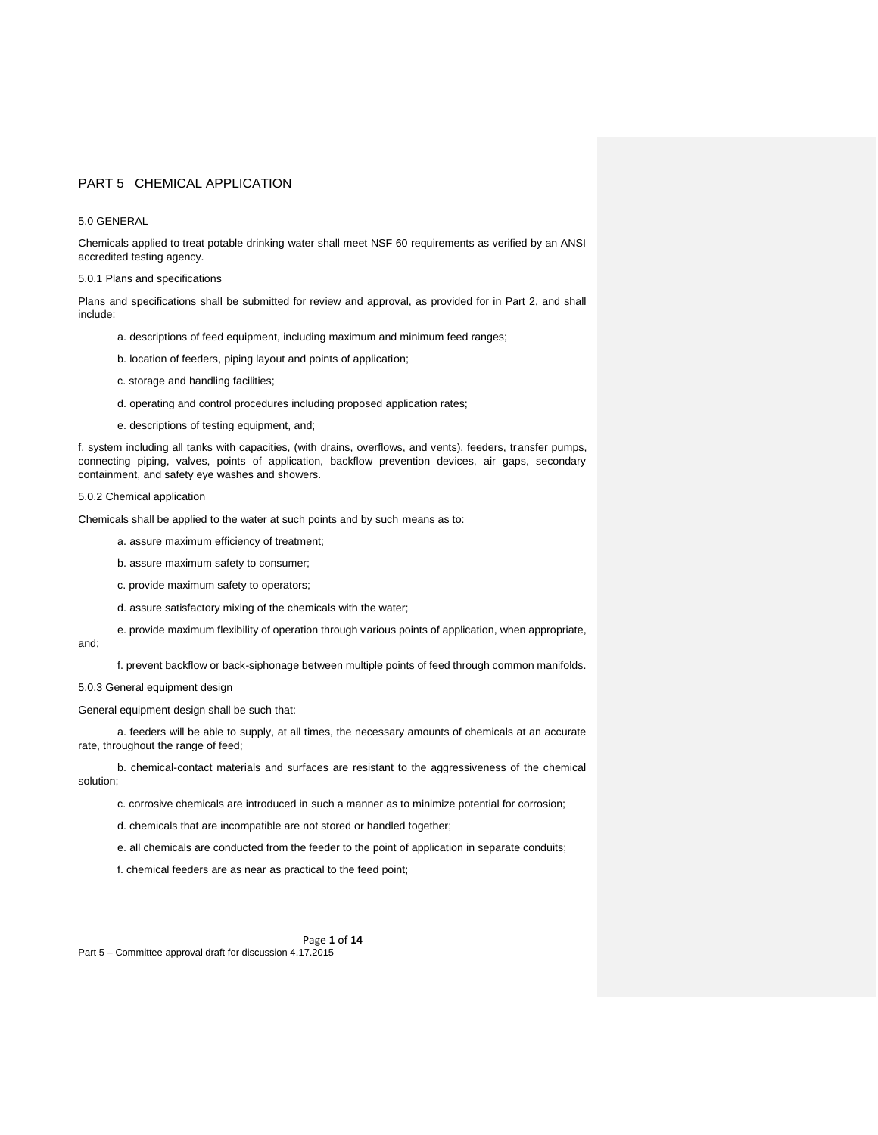## 5.0 GENERAL

Chemicals applied to treat potable drinking water shall meet NSF 60 requirements as verified by an ANSI accredited testing agency.

5.0.1 Plans and specifications

Plans and specifications shall be submitted for review and approval, as provided for in Part 2, and shall include:

- a. descriptions of feed equipment, including maximum and minimum feed ranges;
- b. location of feeders, piping layout and points of application;
- c. storage and handling facilities;
- d. operating and control procedures including proposed application rates;
- e. descriptions of testing equipment, and;

f. system including all tanks with capacities, (with drains, overflows, and vents), feeders, transfer pumps, connecting piping, valves, points of application, backflow prevention devices, air gaps, secondary containment, and safety eye washes and showers.

## 5.0.2 Chemical application

Chemicals shall be applied to the water at such points and by such means as to:

- a. assure maximum efficiency of treatment;
- b. assure maximum safety to consumer;
- c. provide maximum safety to operators;
- d. assure satisfactory mixing of the chemicals with the water;
- e. provide maximum flexibility of operation through various points of application, when appropriate,

f. prevent backflow or back-siphonage between multiple points of feed through common manifolds.

5.0.3 General equipment design

and;

General equipment design shall be such that:

a. feeders will be able to supply, at all times, the necessary amounts of chemicals at an accurate rate, throughout the range of feed;

b. chemical-contact materials and surfaces are resistant to the aggressiveness of the chemical solution;

c. corrosive chemicals are introduced in such a manner as to minimize potential for corrosion;

d. chemicals that are incompatible are not stored or handled together;

e. all chemicals are conducted from the feeder to the point of application in separate conduits;

f. chemical feeders are as near as practical to the feed point;

Page **1** of **14** Part 5 – Committee approval draft for discussion 4.17.2015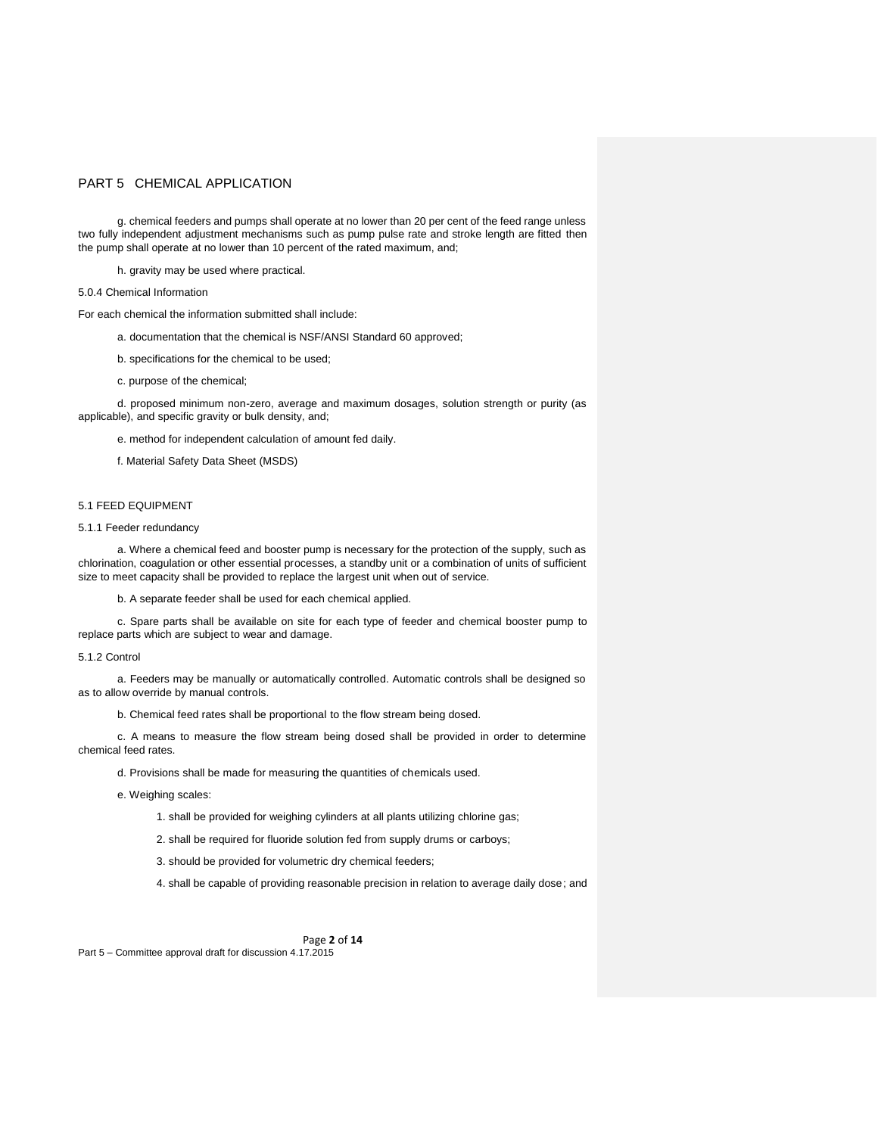g. chemical feeders and pumps shall operate at no lower than 20 per cent of the feed range unless two fully independent adjustment mechanisms such as pump pulse rate and stroke length are fitted then the pump shall operate at no lower than 10 percent of the rated maximum, and;

h. gravity may be used where practical.

#### 5.0.4 Chemical Information

For each chemical the information submitted shall include:

- a. documentation that the chemical is NSF/ANSI Standard 60 approved;
- b. specifications for the chemical to be used;
- c. purpose of the chemical;

d. proposed minimum non-zero, average and maximum dosages, solution strength or purity (as applicable), and specific gravity or bulk density, and;

e. method for independent calculation of amount fed daily.

f. Material Safety Data Sheet (MSDS)

## 5.1 FEED EQUIPMENT

## 5.1.1 Feeder redundancy

a. Where a chemical feed and booster pump is necessary for the protection of the supply, such as chlorination, coagulation or other essential processes, a standby unit or a combination of units of sufficient size to meet capacity shall be provided to replace the largest unit when out of service.

b. A separate feeder shall be used for each chemical applied.

c. Spare parts shall be available on site for each type of feeder and chemical booster pump to replace parts which are subject to wear and damage.

#### 5.1.2 Control

a. Feeders may be manually or automatically controlled. Automatic controls shall be designed so as to allow override by manual controls.

b. Chemical feed rates shall be proportional to the flow stream being dosed.

c. A means to measure the flow stream being dosed shall be provided in order to determine chemical feed rates.

d. Provisions shall be made for measuring the quantities of chemicals used.

e. Weighing scales:

1. shall be provided for weighing cylinders at all plants utilizing chlorine gas;

- 2. shall be required for fluoride solution fed from supply drums or carboys;
- 3. should be provided for volumetric dry chemical feeders;

4. shall be capable of providing reasonable precision in relation to average daily dose; and

Page **2** of **14**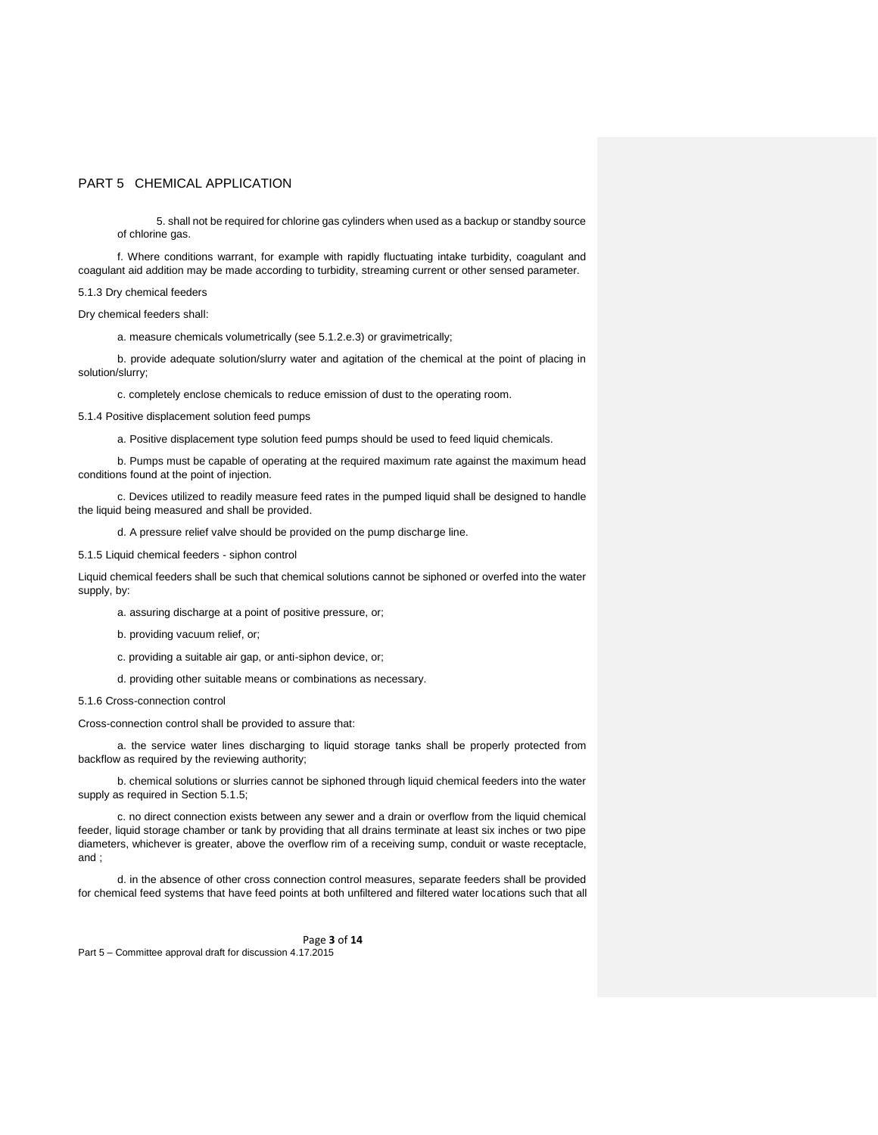5. shall not be required for chlorine gas cylinders when used as a backup or standby source of chlorine gas.

f. Where conditions warrant, for example with rapidly fluctuating intake turbidity, coagulant and coagulant aid addition may be made according to turbidity, streaming current or other sensed parameter.

### 5.1.3 Dry chemical feeders

Dry chemical feeders shall:

a. measure chemicals volumetrically (see 5.1.2.e.3) or gravimetrically;

b. provide adequate solution/slurry water and agitation of the chemical at the point of placing in solution/slurry;

c. completely enclose chemicals to reduce emission of dust to the operating room.

5.1.4 Positive displacement solution feed pumps

a. Positive displacement type solution feed pumps should be used to feed liquid chemicals.

b. Pumps must be capable of operating at the required maximum rate against the maximum head conditions found at the point of injection.

c. Devices utilized to readily measure feed rates in the pumped liquid shall be designed to handle the liquid being measured and shall be provided.

d. A pressure relief valve should be provided on the pump discharge line.

5.1.5 Liquid chemical feeders - siphon control

Liquid chemical feeders shall be such that chemical solutions cannot be siphoned or overfed into the water supply, by:

a. assuring discharge at a point of positive pressure, or;

b. providing vacuum relief, or;

c. providing a suitable air gap, or anti-siphon device, or;

d. providing other suitable means or combinations as necessary.

5.1.6 Cross-connection control

Cross-connection control shall be provided to assure that:

a. the service water lines discharging to liquid storage tanks shall be properly protected from backflow as required by the reviewing authority;

b. chemical solutions or slurries cannot be siphoned through liquid chemical feeders into the water supply as required in Section 5.1.5;

c. no direct connection exists between any sewer and a drain or overflow from the liquid chemical feeder, liquid storage chamber or tank by providing that all drains terminate at least six inches or two pipe diameters, whichever is greater, above the overflow rim of a receiving sump, conduit or waste receptacle, and ;

d. in the absence of other cross connection control measures, separate feeders shall be provided for chemical feed systems that have feed points at both unfiltered and filtered water locations such that all

Page **3** of **14**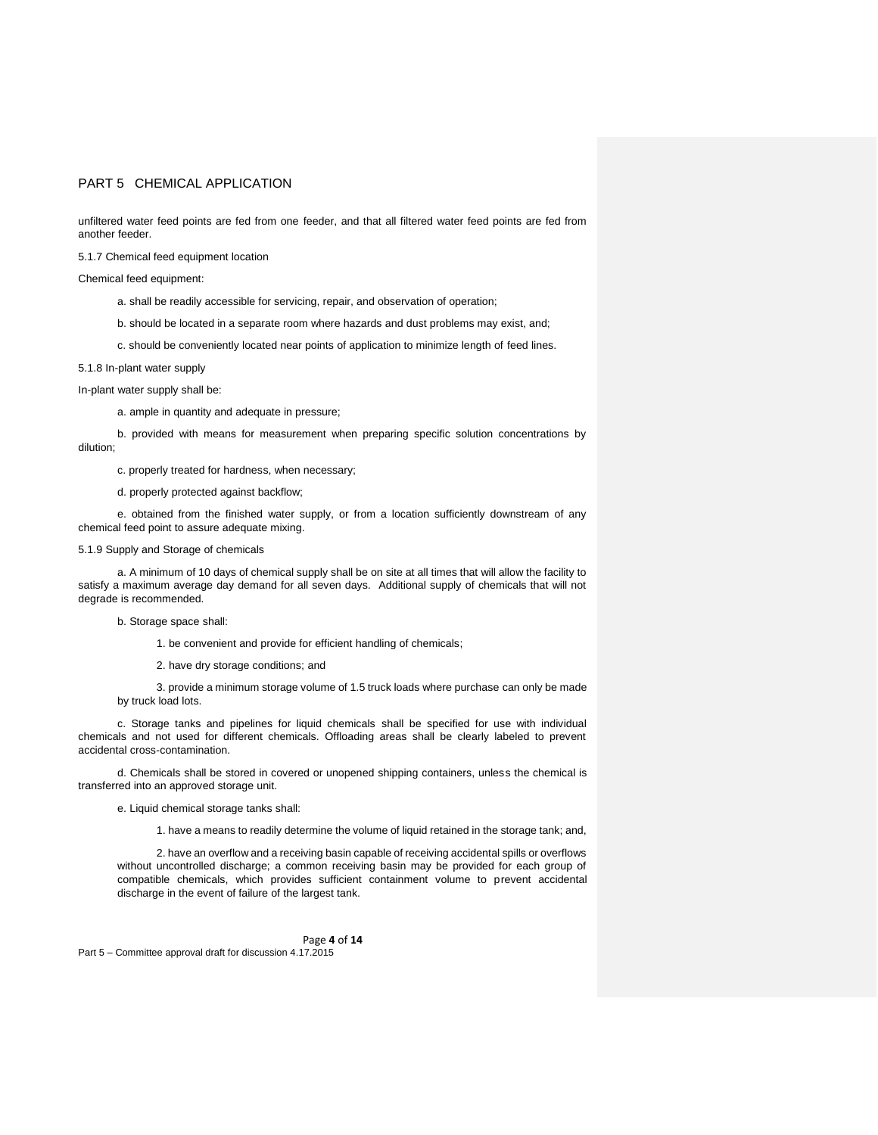unfiltered water feed points are fed from one feeder, and that all filtered water feed points are fed from another feeder.

5.1.7 Chemical feed equipment location

Chemical feed equipment:

- a. shall be readily accessible for servicing, repair, and observation of operation;
- b. should be located in a separate room where hazards and dust problems may exist, and;
- c. should be conveniently located near points of application to minimize length of feed lines.

## 5.1.8 In-plant water supply

In-plant water supply shall be:

a. ample in quantity and adequate in pressure;

b. provided with means for measurement when preparing specific solution concentrations by dilution;

c. properly treated for hardness, when necessary;

d. properly protected against backflow;

e. obtained from the finished water supply, or from a location sufficiently downstream of any chemical feed point to assure adequate mixing.

# 5.1.9 Supply and Storage of chemicals

a. A minimum of 10 days of chemical supply shall be on site at all times that will allow the facility to satisfy a maximum average day demand for all seven days. Additional supply of chemicals that will not degrade is recommended.

b. Storage space shall:

1. be convenient and provide for efficient handling of chemicals;

2. have dry storage conditions; and

3. provide a minimum storage volume of 1.5 truck loads where purchase can only be made by truck load lots.

c. Storage tanks and pipelines for liquid chemicals shall be specified for use with individual chemicals and not used for different chemicals. Offloading areas shall be clearly labeled to prevent accidental cross-contamination.

d. Chemicals shall be stored in covered or unopened shipping containers, unless the chemical is transferred into an approved storage unit.

e. Liquid chemical storage tanks shall:

1. have a means to readily determine the volume of liquid retained in the storage tank; and,

2. have an overflow and a receiving basin capable of receiving accidental spills or overflows without uncontrolled discharge; a common receiving basin may be provided for each group of compatible chemicals, which provides sufficient containment volume to prevent accidental discharge in the event of failure of the largest tank.

Page **4** of **14** Part 5 – Committee approval draft for discussion 4.17.2015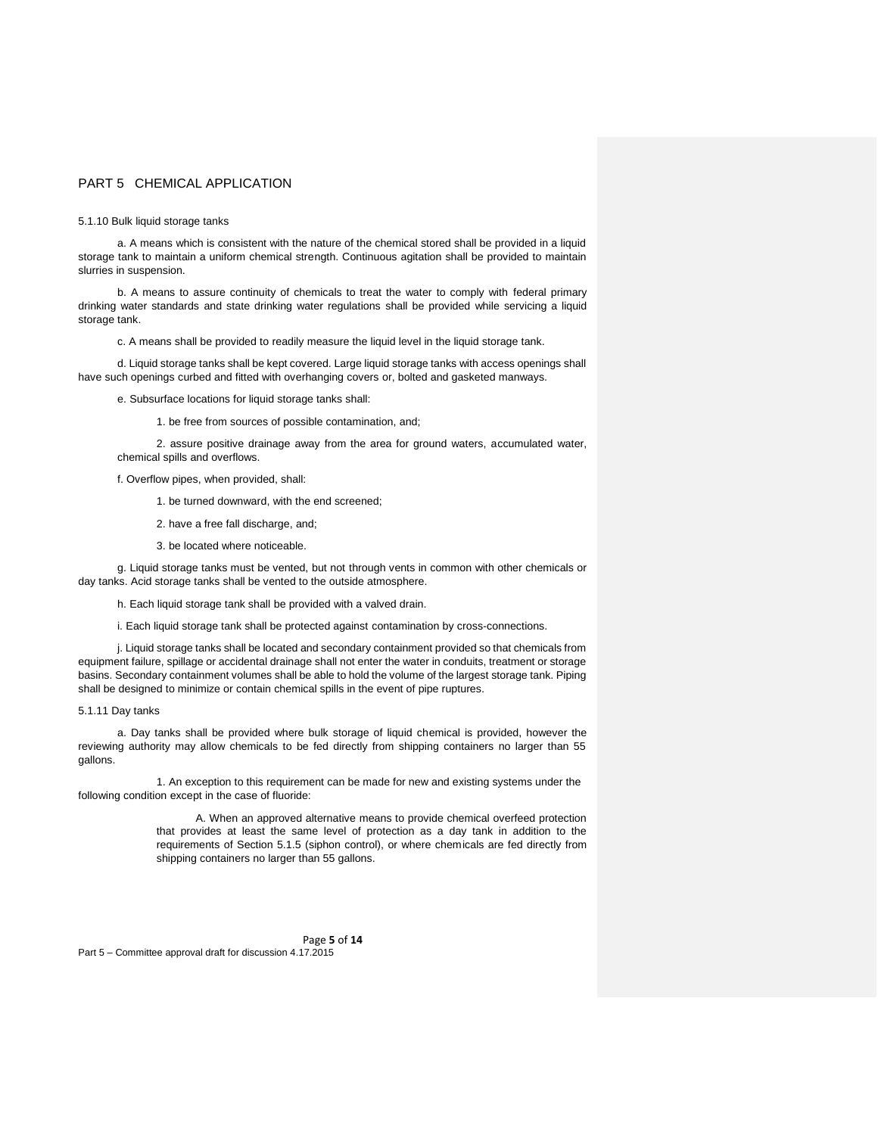5.1.10 Bulk liquid storage tanks

a. A means which is consistent with the nature of the chemical stored shall be provided in a liquid storage tank to maintain a uniform chemical strength. Continuous agitation shall be provided to maintain slurries in suspension.

b. A means to assure continuity of chemicals to treat the water to comply with federal primary drinking water standards and state drinking water regulations shall be provided while servicing a liquid storage tank.

c. A means shall be provided to readily measure the liquid level in the liquid storage tank.

d. Liquid storage tanks shall be kept covered. Large liquid storage tanks with access openings shall have such openings curbed and fitted with overhanging covers or, bolted and gasketed manways.

e. Subsurface locations for liquid storage tanks shall:

1. be free from sources of possible contamination, and;

2. assure positive drainage away from the area for ground waters, accumulated water, chemical spills and overflows.

f. Overflow pipes, when provided, shall:

1. be turned downward, with the end screened;

2. have a free fall discharge, and;

3. be located where noticeable.

g. Liquid storage tanks must be vented, but not through vents in common with other chemicals or day tanks. Acid storage tanks shall be vented to the outside atmosphere.

h. Each liquid storage tank shall be provided with a valved drain.

i. Each liquid storage tank shall be protected against contamination by cross-connections.

j. Liquid storage tanks shall be located and secondary containment provided so that chemicals from equipment failure, spillage or accidental drainage shall not enter the water in conduits, treatment or storage basins. Secondary containment volumes shall be able to hold the volume of the largest storage tank. Piping shall be designed to minimize or contain chemical spills in the event of pipe ruptures.

### 5.1.11 Day tanks

a. Day tanks shall be provided where bulk storage of liquid chemical is provided, however the reviewing authority may allow chemicals to be fed directly from shipping containers no larger than 55 gallons.

1. An exception to this requirement can be made for new and existing systems under the following condition except in the case of fluoride:

> A. When an approved alternative means to provide chemical overfeed protection that provides at least the same level of protection as a day tank in addition to the requirements of Section 5.1.5 (siphon control), or where chemicals are fed directly from shipping containers no larger than 55 gallons.

Page **5** of **14** Part 5 – Committee approval draft for discussion 4.17.2015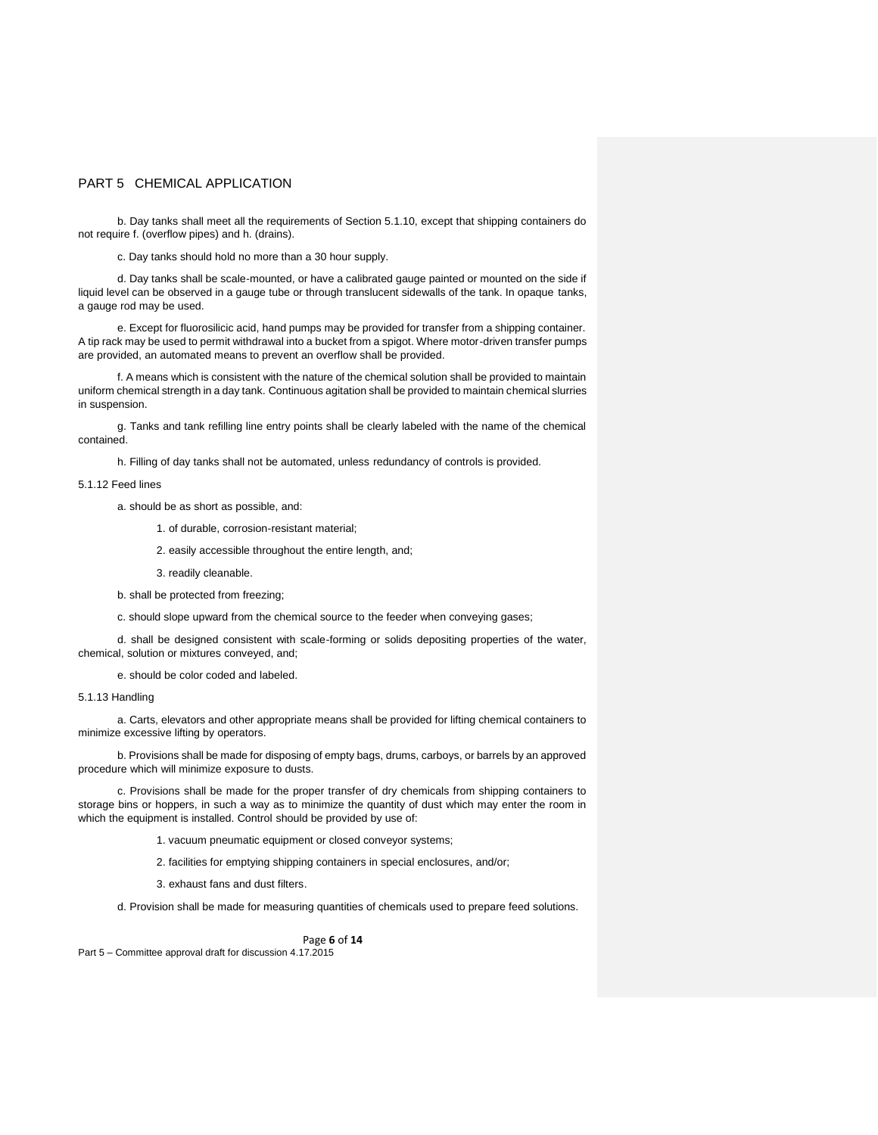b. Day tanks shall meet all the requirements of Section 5.1.10, except that shipping containers do not require f. (overflow pipes) and h. (drains).

c. Day tanks should hold no more than a 30 hour supply.

d. Day tanks shall be scale-mounted, or have a calibrated gauge painted or mounted on the side if liquid level can be observed in a gauge tube or through translucent sidewalls of the tank. In opaque tanks, a gauge rod may be used.

e. Except for fluorosilicic acid, hand pumps may be provided for transfer from a shipping container. A tip rack may be used to permit withdrawal into a bucket from a spigot. Where motor-driven transfer pumps are provided, an automated means to prevent an overflow shall be provided.

f. A means which is consistent with the nature of the chemical solution shall be provided to maintain uniform chemical strength in a day tank. Continuous agitation shall be provided to maintain chemical slurries in suspension.

g. Tanks and tank refilling line entry points shall be clearly labeled with the name of the chemical contained.

h. Filling of day tanks shall not be automated, unless redundancy of controls is provided.

5.1.12 Feed lines

a. should be as short as possible, and:

- 1. of durable, corrosion-resistant material;
- 2. easily accessible throughout the entire length, and;

3. readily cleanable.

b. shall be protected from freezing;

c. should slope upward from the chemical source to the feeder when conveying gases;

d. shall be designed consistent with scale-forming or solids depositing properties of the water, chemical, solution or mixtures conveyed, and;

e. should be color coded and labeled.

## 5.1.13 Handling

a. Carts, elevators and other appropriate means shall be provided for lifting chemical containers to minimize excessive lifting by operators.

b. Provisions shall be made for disposing of empty bags, drums, carboys, or barrels by an approved procedure which will minimize exposure to dusts.

c. Provisions shall be made for the proper transfer of dry chemicals from shipping containers to storage bins or hoppers, in such a way as to minimize the quantity of dust which may enter the room in which the equipment is installed. Control should be provided by use of:

1. vacuum pneumatic equipment or closed conveyor systems;

2. facilities for emptying shipping containers in special enclosures, and/or;

3. exhaust fans and dust filters.

d. Provision shall be made for measuring quantities of chemicals used to prepare feed solutions.

Page **6** of **14**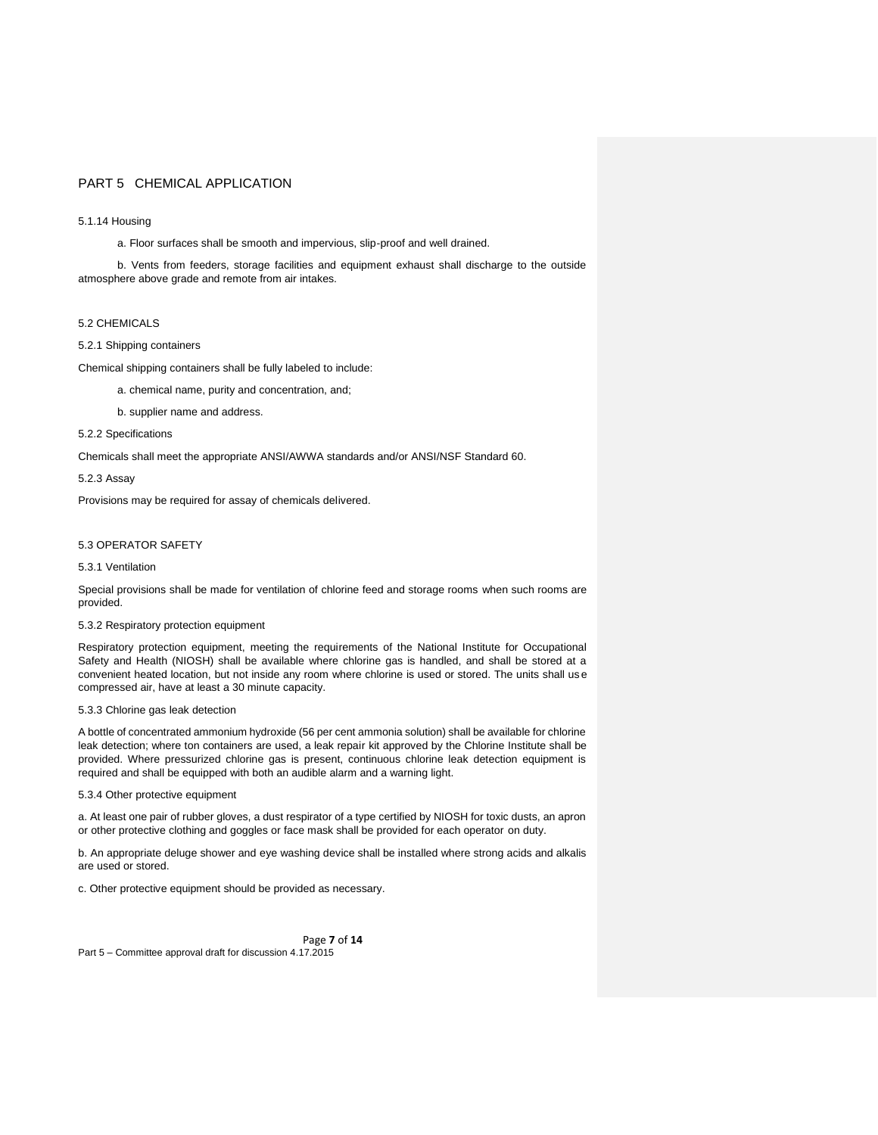### 5.1.14 Housing

a. Floor surfaces shall be smooth and impervious, slip-proof and well drained.

b. Vents from feeders, storage facilities and equipment exhaust shall discharge to the outside atmosphere above grade and remote from air intakes.

## 5.2 CHEMICALS

## 5.2.1 Shipping containers

Chemical shipping containers shall be fully labeled to include:

a. chemical name, purity and concentration, and;

b. supplier name and address.

## 5.2.2 Specifications

Chemicals shall meet the appropriate ANSI/AWWA standards and/or ANSI/NSF Standard 60.

5.2.3 Assay

Provisions may be required for assay of chemicals delivered.

## 5.3 OPERATOR SAFETY

5.3.1 Ventilation

Special provisions shall be made for ventilation of chlorine feed and storage rooms when such rooms are provided.

## 5.3.2 Respiratory protection equipment

Respiratory protection equipment, meeting the requirements of the National Institute for Occupational Safety and Health (NIOSH) shall be available where chlorine gas is handled, and shall be stored at a convenient heated location, but not inside any room where chlorine is used or stored. The units shall us e compressed air, have at least a 30 minute capacity.

### 5.3.3 Chlorine gas leak detection

A bottle of concentrated ammonium hydroxide (56 per cent ammonia solution) shall be available for chlorine leak detection; where ton containers are used, a leak repair kit approved by the Chlorine Institute shall be provided. Where pressurized chlorine gas is present, continuous chlorine leak detection equipment is required and shall be equipped with both an audible alarm and a warning light.

## 5.3.4 Other protective equipment

a. At least one pair of rubber gloves, a dust respirator of a type certified by NIOSH for toxic dusts, an apron or other protective clothing and goggles or face mask shall be provided for each operator on duty.

b. An appropriate deluge shower and eye washing device shall be installed where strong acids and alkalis are used or stored.

c. Other protective equipment should be provided as necessary.

Page **7** of **14** Part 5 – Committee approval draft for discussion 4.17.2015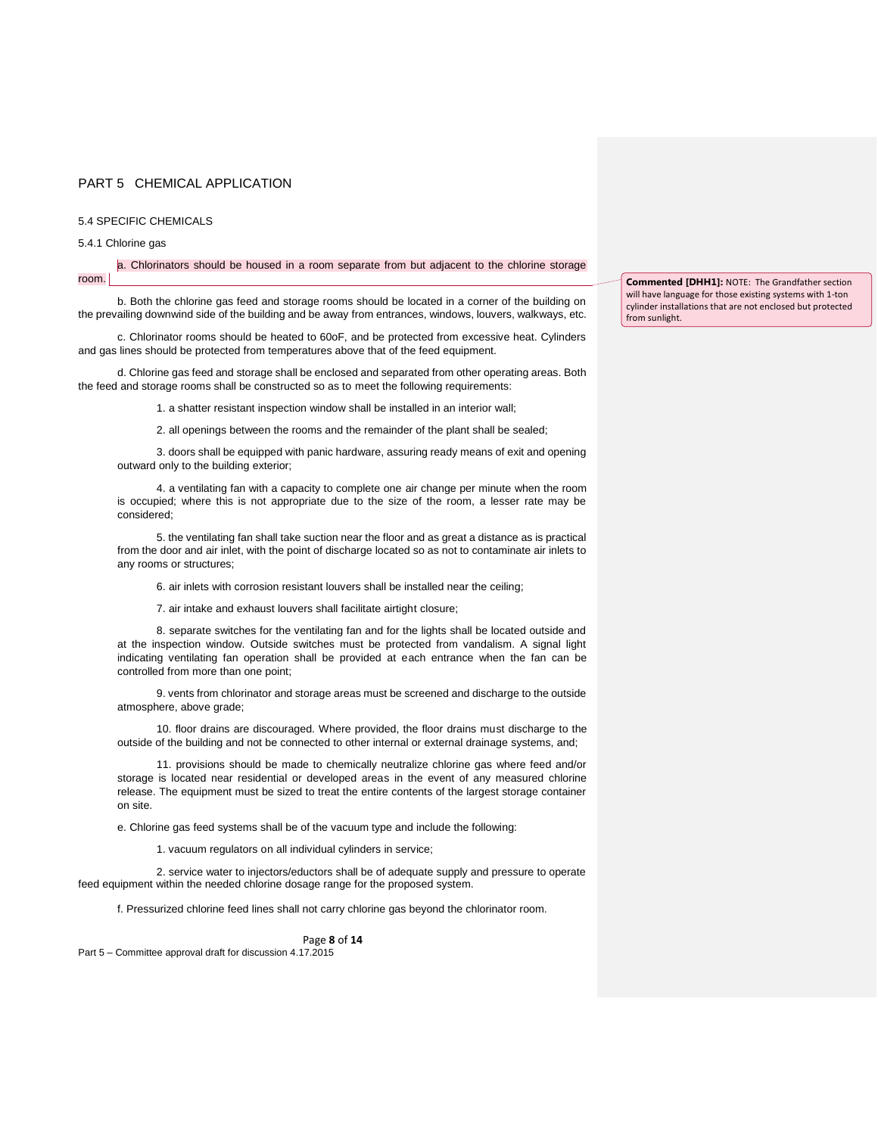## 5.4 SPECIFIC CHEMICALS

#### 5.4.1 Chlorine gas

### a. Chlorinators should be housed in a room separate from but adjacent to the chlorine storage room.

b. Both the chlorine gas feed and storage rooms should be located in a corner of the building on the prevailing downwind side of the building and be away from entrances, windows, louvers, walkways, etc.

c. Chlorinator rooms should be heated to 60oF, and be protected from excessive heat. Cylinders and gas lines should be protected from temperatures above that of the feed equipment.

d. Chlorine gas feed and storage shall be enclosed and separated from other operating areas. Both the feed and storage rooms shall be constructed so as to meet the following requirements:

1. a shatter resistant inspection window shall be installed in an interior wall;

2. all openings between the rooms and the remainder of the plant shall be sealed;

3. doors shall be equipped with panic hardware, assuring ready means of exit and opening outward only to the building exterior;

4. a ventilating fan with a capacity to complete one air change per minute when the room is occupied; where this is not appropriate due to the size of the room, a lesser rate may be considered;

5. the ventilating fan shall take suction near the floor and as great a distance as is practical from the door and air inlet, with the point of discharge located so as not to contaminate air inlets to any rooms or structures;

6. air inlets with corrosion resistant louvers shall be installed near the ceiling;

7. air intake and exhaust louvers shall facilitate airtight closure;

8. separate switches for the ventilating fan and for the lights shall be located outside and at the inspection window. Outside switches must be protected from vandalism. A signal light indicating ventilating fan operation shall be provided at each entrance when the fan can be controlled from more than one point;

9. vents from chlorinator and storage areas must be screened and discharge to the outside atmosphere, above grade;

10. floor drains are discouraged. Where provided, the floor drains must discharge to the outside of the building and not be connected to other internal or external drainage systems, and;

11. provisions should be made to chemically neutralize chlorine gas where feed and/or storage is located near residential or developed areas in the event of any measured chlorine release. The equipment must be sized to treat the entire contents of the largest storage container on site.

e. Chlorine gas feed systems shall be of the vacuum type and include the following:

1. vacuum regulators on all individual cylinders in service;

2. service water to injectors/eductors shall be of adequate supply and pressure to operate feed equipment within the needed chlorine dosage range for the proposed system.

f. Pressurized chlorine feed lines shall not carry chlorine gas beyond the chlorinator room.

#### Page **8** of **14**

Part 5 – Committee approval draft for discussion 4.17.2015

**Commented [DHH1]:** NOTE: The Grandfather section will have language for those existing systems with 1-ton cylinder installations that are not enclosed but protected from sunlight.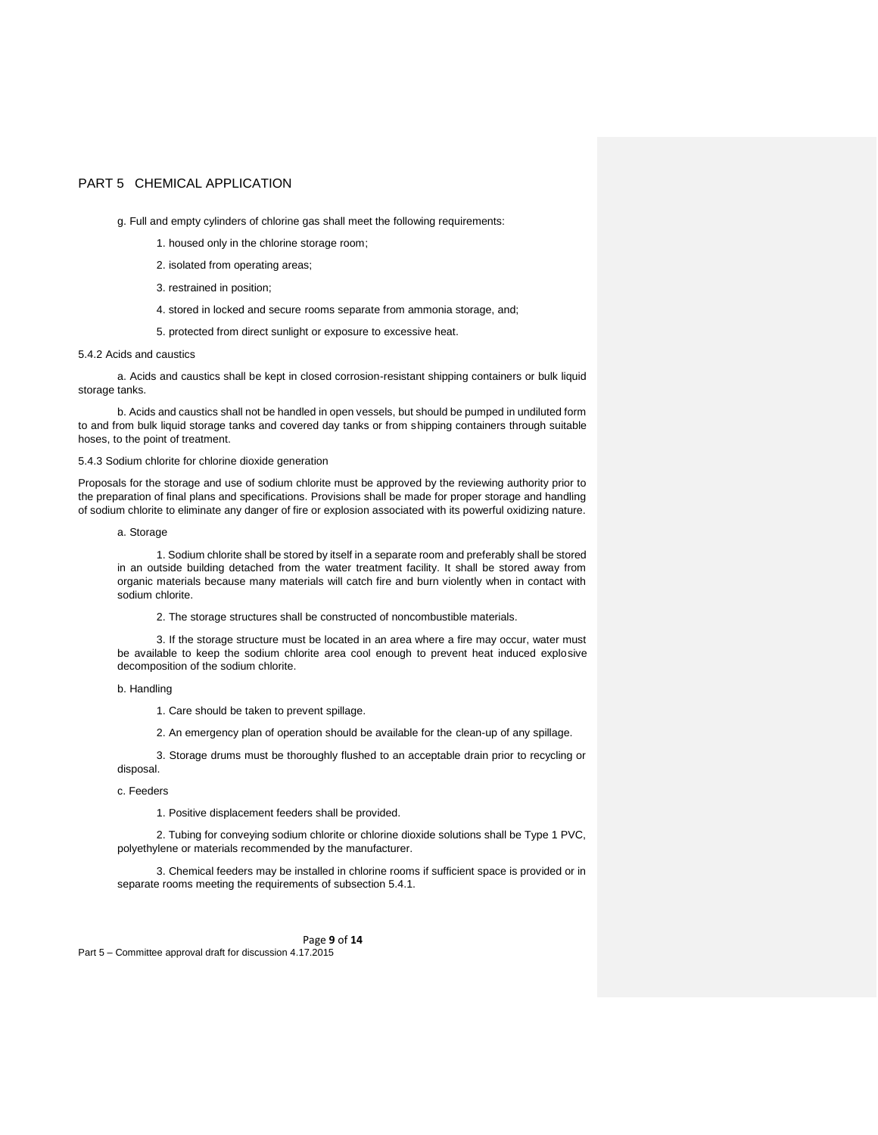g. Full and empty cylinders of chlorine gas shall meet the following requirements:

- 1. housed only in the chlorine storage room;
- 2. isolated from operating areas;
- 3. restrained in position;
- 4. stored in locked and secure rooms separate from ammonia storage, and;
- 5. protected from direct sunlight or exposure to excessive heat.

### 5.4.2 Acids and caustics

a. Acids and caustics shall be kept in closed corrosion-resistant shipping containers or bulk liquid storage tanks.

b. Acids and caustics shall not be handled in open vessels, but should be pumped in undiluted form to and from bulk liquid storage tanks and covered day tanks or from shipping containers through suitable hoses, to the point of treatment.

### 5.4.3 Sodium chlorite for chlorine dioxide generation

Proposals for the storage and use of sodium chlorite must be approved by the reviewing authority prior to the preparation of final plans and specifications. Provisions shall be made for proper storage and handling of sodium chlorite to eliminate any danger of fire or explosion associated with its powerful oxidizing nature.

#### a. Storage

1. Sodium chlorite shall be stored by itself in a separate room and preferably shall be stored in an outside building detached from the water treatment facility. It shall be stored away from organic materials because many materials will catch fire and burn violently when in contact with sodium chlorite.

2. The storage structures shall be constructed of noncombustible materials.

3. If the storage structure must be located in an area where a fire may occur, water must be available to keep the sodium chlorite area cool enough to prevent heat induced explosive decomposition of the sodium chlorite.

b. Handling

1. Care should be taken to prevent spillage.

2. An emergency plan of operation should be available for the clean-up of any spillage.

3. Storage drums must be thoroughly flushed to an acceptable drain prior to recycling or disposal.

### c. Feeders

1. Positive displacement feeders shall be provided.

2. Tubing for conveying sodium chlorite or chlorine dioxide solutions shall be Type 1 PVC, polyethylene or materials recommended by the manufacturer.

3. Chemical feeders may be installed in chlorine rooms if sufficient space is provided or in separate rooms meeting the requirements of subsection 5.4.1.

Page **9** of **14**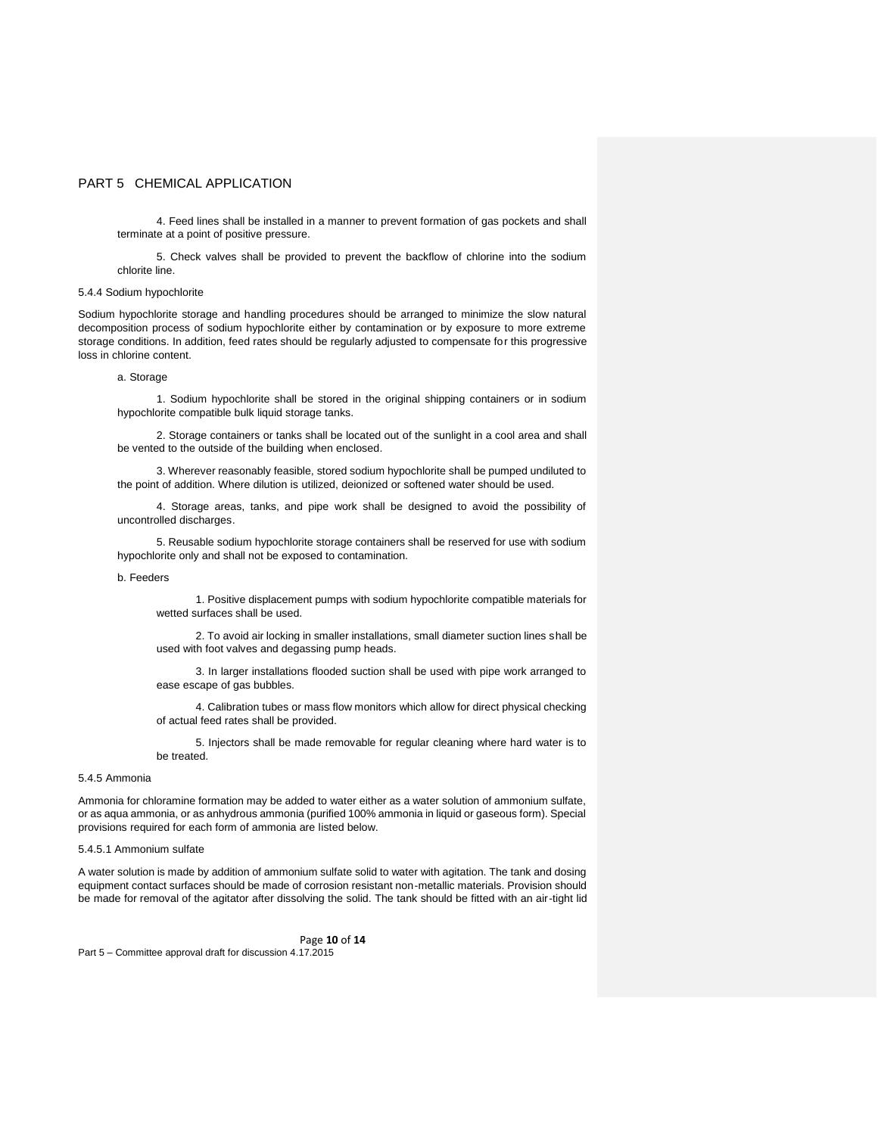4. Feed lines shall be installed in a manner to prevent formation of gas pockets and shall terminate at a point of positive pressure.

5. Check valves shall be provided to prevent the backflow of chlorine into the sodium chlorite line.

#### 5.4.4 Sodium hypochlorite

Sodium hypochlorite storage and handling procedures should be arranged to minimize the slow natural decomposition process of sodium hypochlorite either by contamination or by exposure to more extreme storage conditions. In addition, feed rates should be regularly adjusted to compensate for this progressive loss in chlorine content.

## a. Storage

1. Sodium hypochlorite shall be stored in the original shipping containers or in sodium hypochlorite compatible bulk liquid storage tanks.

2. Storage containers or tanks shall be located out of the sunlight in a cool area and shall be vented to the outside of the building when enclosed.

3. Wherever reasonably feasible, stored sodium hypochlorite shall be pumped undiluted to the point of addition. Where dilution is utilized, deionized or softened water should be used.

4. Storage areas, tanks, and pipe work shall be designed to avoid the possibility of uncontrolled discharges.

5. Reusable sodium hypochlorite storage containers shall be reserved for use with sodium hypochlorite only and shall not be exposed to contamination.

## b. Feeders

1. Positive displacement pumps with sodium hypochlorite compatible materials for wetted surfaces shall be used.

2. To avoid air locking in smaller installations, small diameter suction lines shall be used with foot valves and degassing pump heads.

3. In larger installations flooded suction shall be used with pipe work arranged to ease escape of gas bubbles.

4. Calibration tubes or mass flow monitors which allow for direct physical checking of actual feed rates shall be provided.

5. Injectors shall be made removable for regular cleaning where hard water is to be treated.

### 5.4.5 Ammonia

Ammonia for chloramine formation may be added to water either as a water solution of ammonium sulfate, or as aqua ammonia, or as anhydrous ammonia (purified 100% ammonia in liquid or gaseous form). Special provisions required for each form of ammonia are listed below.

### 5.4.5.1 Ammonium sulfate

A water solution is made by addition of ammonium sulfate solid to water with agitation. The tank and dosing equipment contact surfaces should be made of corrosion resistant non-metallic materials. Provision should be made for removal of the agitator after dissolving the solid. The tank should be fitted with an air-tight lid

## Page **10** of **14**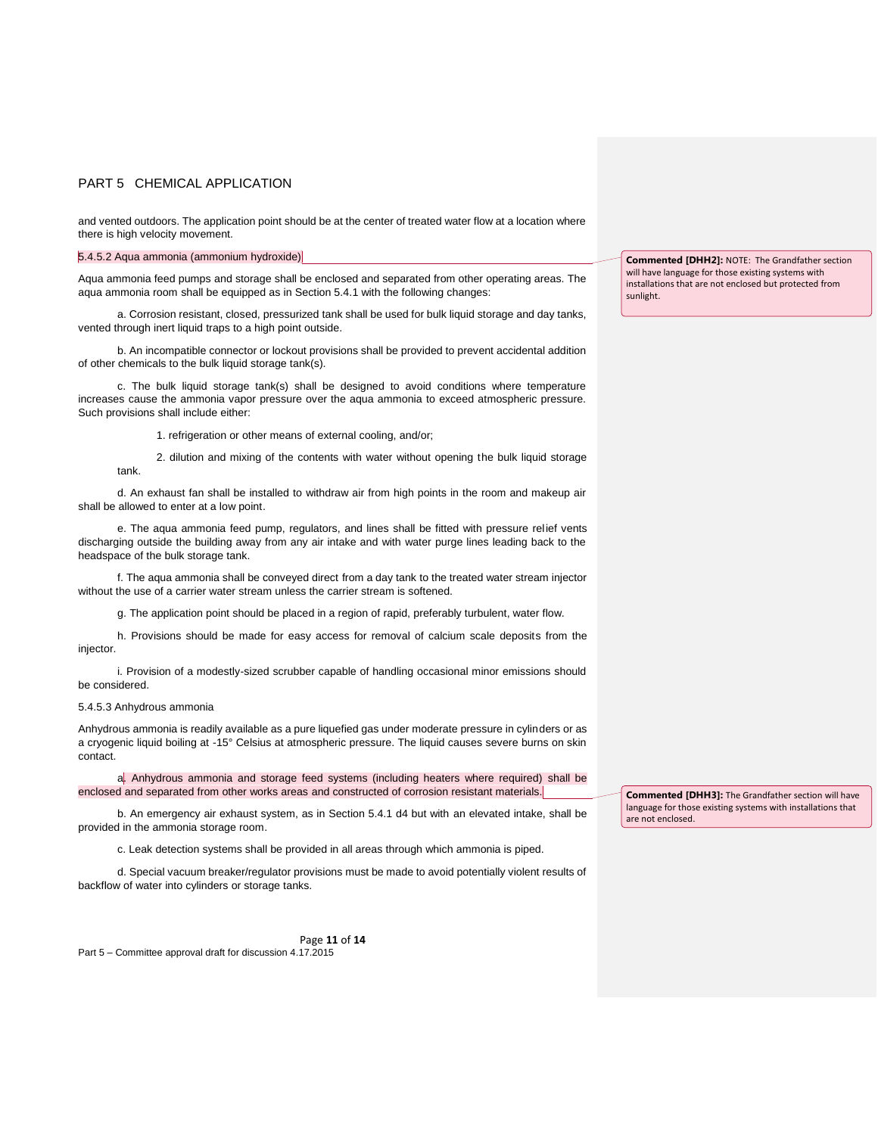and vented outdoors. The application point should be at the center of treated water flow at a location where there is high velocity movement.

5.4.5.2 Aqua ammonia (ammonium hydroxide)

Aqua ammonia feed pumps and storage shall be enclosed and separated from other operating areas. The aqua ammonia room shall be equipped as in Section 5.4.1 with the following changes:

a. Corrosion resistant, closed, pressurized tank shall be used for bulk liquid storage and day tanks, vented through inert liquid traps to a high point outside.

b. An incompatible connector or lockout provisions shall be provided to prevent accidental addition of other chemicals to the bulk liquid storage tank(s).

c. The bulk liquid storage tank(s) shall be designed to avoid conditions where temperature increases cause the ammonia vapor pressure over the aqua ammonia to exceed atmospheric pressure. Such provisions shall include either:

1. refrigeration or other means of external cooling, and/or;

2. dilution and mixing of the contents with water without opening the bulk liquid storage tank.

d. An exhaust fan shall be installed to withdraw air from high points in the room and makeup air shall be allowed to enter at a low point.

e. The aqua ammonia feed pump, regulators, and lines shall be fitted with pressure relief vents discharging outside the building away from any air intake and with water purge lines leading back to the headspace of the bulk storage tank.

f. The aqua ammonia shall be conveyed direct from a day tank to the treated water stream injector without the use of a carrier water stream unless the carrier stream is softened.

g. The application point should be placed in a region of rapid, preferably turbulent, water flow.

h. Provisions should be made for easy access for removal of calcium scale deposits from the injector.

i. Provision of a modestly-sized scrubber capable of handling occasional minor emissions should be considered.

## 5.4.5.3 Anhydrous ammonia

Anhydrous ammonia is readily available as a pure liquefied gas under moderate pressure in cylinders or as a cryogenic liquid boiling at -15° Celsius at atmospheric pressure. The liquid causes severe burns on skin contact.

a. Anhydrous ammonia and storage feed systems (including heaters where required) shall be enclosed and separated from other works areas and constructed of corrosion resistant materials.

b. An emergency air exhaust system, as in Section 5.4.1 d4 but with an elevated intake, shall be provided in the ammonia storage room.

c. Leak detection systems shall be provided in all areas through which ammonia is piped.

d. Special vacuum breaker/regulator provisions must be made to avoid potentially violent results of backflow of water into cylinders or storage tanks.

Page **11** of **14** Part 5 – Committee approval draft for discussion 4.17.2015

**Commented [DHH2]:** NOTE: The Grandfather section will have language for those existing systems with installations that are not enclosed but protected from sunlight.

**Commented [DHH3]:** The Grandfather section will have language for those existing systems with installations that are not enclosed.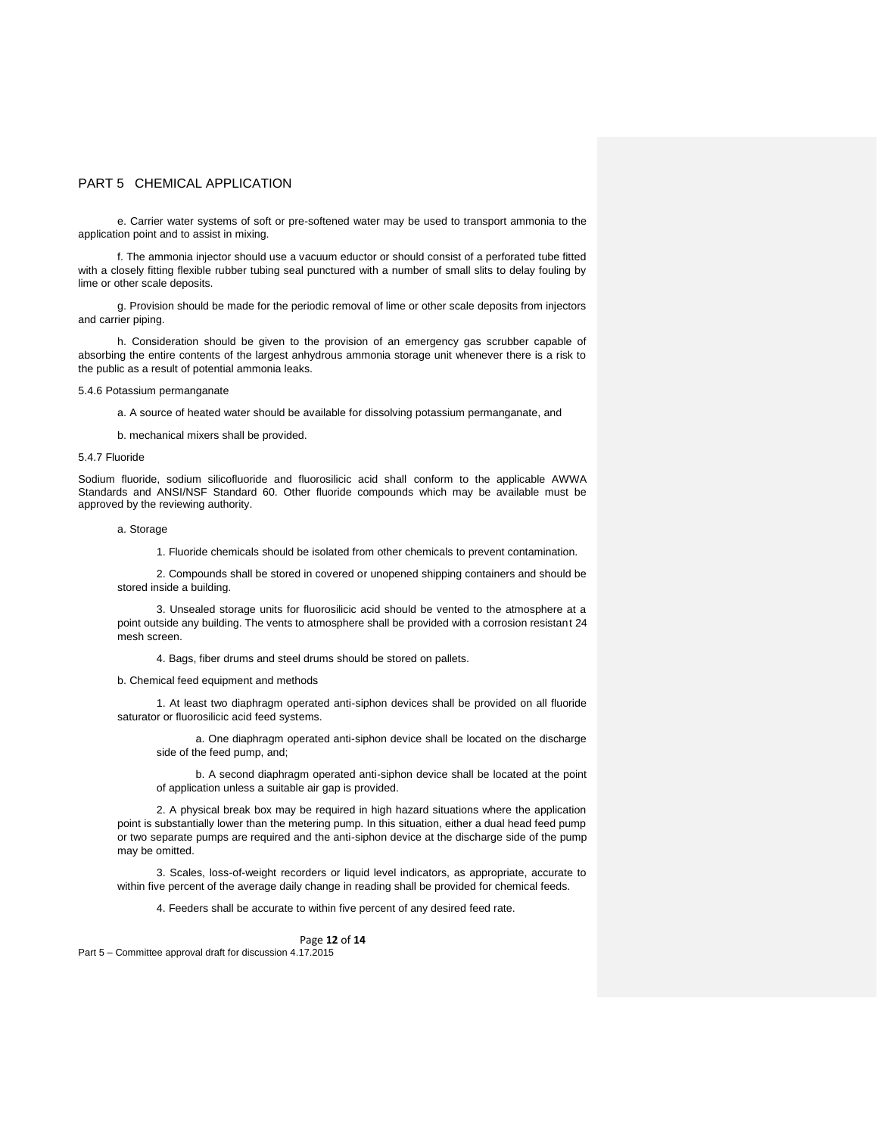e. Carrier water systems of soft or pre-softened water may be used to transport ammonia to the application point and to assist in mixing.

f. The ammonia injector should use a vacuum eductor or should consist of a perforated tube fitted with a closely fitting flexible rubber tubing seal punctured with a number of small slits to delay fouling by lime or other scale deposits.

g. Provision should be made for the periodic removal of lime or other scale deposits from injectors and carrier piping.

h. Consideration should be given to the provision of an emergency gas scrubber capable of absorbing the entire contents of the largest anhydrous ammonia storage unit whenever there is a risk to the public as a result of potential ammonia leaks.

5.4.6 Potassium permanganate

a. A source of heated water should be available for dissolving potassium permanganate, and

b. mechanical mixers shall be provided.

#### 5.4.7 Fluoride

Sodium fluoride, sodium silicofluoride and fluorosilicic acid shall conform to the applicable AWWA Standards and ANSI/NSF Standard 60. Other fluoride compounds which may be available must be approved by the reviewing authority.

## a. Storage

1. Fluoride chemicals should be isolated from other chemicals to prevent contamination.

2. Compounds shall be stored in covered or unopened shipping containers and should be stored inside a building.

3. Unsealed storage units for fluorosilicic acid should be vented to the atmosphere at a point outside any building. The vents to atmosphere shall be provided with a corrosion resistant 24 mesh screen.

4. Bags, fiber drums and steel drums should be stored on pallets.

b. Chemical feed equipment and methods

1. At least two diaphragm operated anti-siphon devices shall be provided on all fluoride saturator or fluorosilicic acid feed systems.

a. One diaphragm operated anti-siphon device shall be located on the discharge side of the feed pump, and;

b. A second diaphragm operated anti-siphon device shall be located at the point of application unless a suitable air gap is provided.

2. A physical break box may be required in high hazard situations where the application point is substantially lower than the metering pump. In this situation, either a dual head feed pump or two separate pumps are required and the anti-siphon device at the discharge side of the pump may be omitted.

3. Scales, loss-of-weight recorders or liquid level indicators, as appropriate, accurate to within five percent of the average daily change in reading shall be provided for chemical feeds.

4. Feeders shall be accurate to within five percent of any desired feed rate.

#### Page **12** of **14**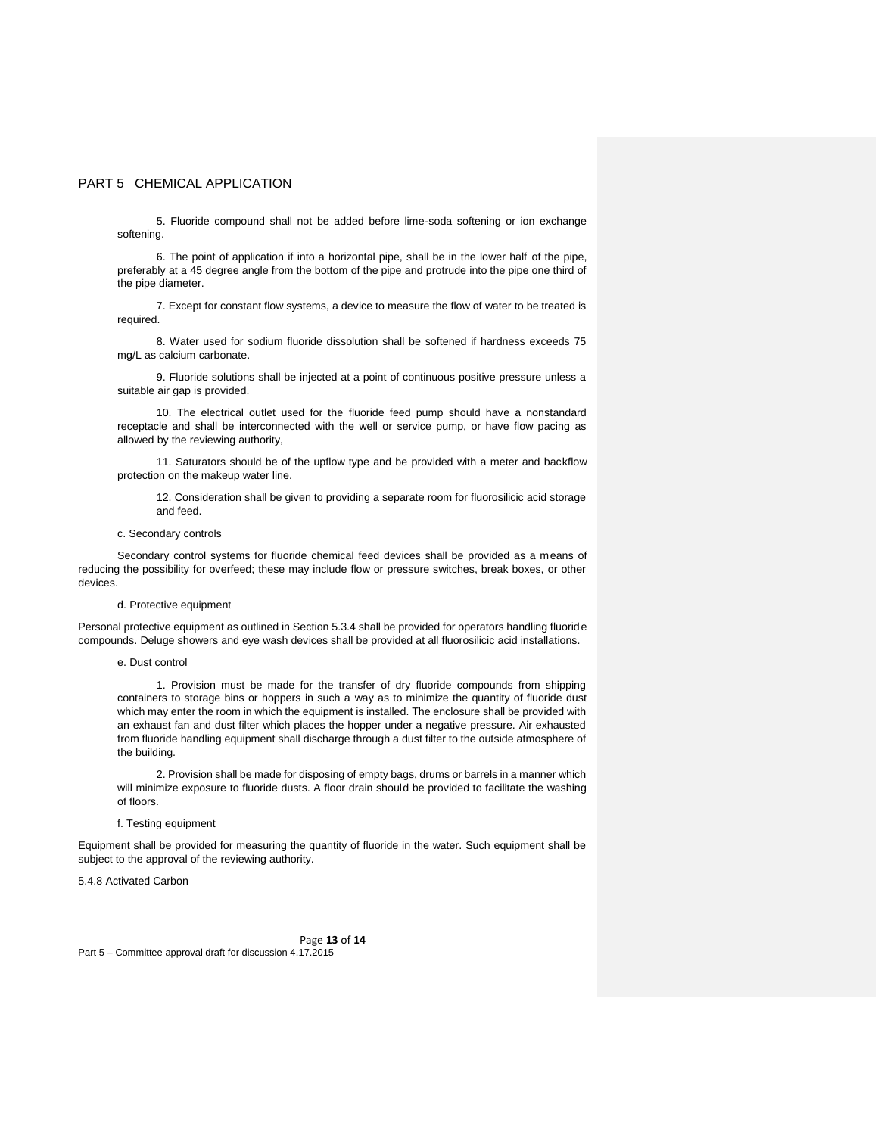5. Fluoride compound shall not be added before lime-soda softening or ion exchange softening.

6. The point of application if into a horizontal pipe, shall be in the lower half of the pipe, preferably at a 45 degree angle from the bottom of the pipe and protrude into the pipe one third of the pipe diameter.

7. Except for constant flow systems, a device to measure the flow of water to be treated is required.

8. Water used for sodium fluoride dissolution shall be softened if hardness exceeds 75 mg/L as calcium carbonate.

9. Fluoride solutions shall be injected at a point of continuous positive pressure unless a suitable air gap is provided.

10. The electrical outlet used for the fluoride feed pump should have a nonstandard receptacle and shall be interconnected with the well or service pump, or have flow pacing as allowed by the reviewing authority,

11. Saturators should be of the upflow type and be provided with a meter and backflow protection on the makeup water line.

12. Consideration shall be given to providing a separate room for fluorosilicic acid storage and feed.

### c. Secondary controls

Secondary control systems for fluoride chemical feed devices shall be provided as a means of reducing the possibility for overfeed; these may include flow or pressure switches, break boxes, or other devices.

### d. Protective equipment

Personal protective equipment as outlined in Section 5.3.4 shall be provided for operators handling fluoride compounds. Deluge showers and eye wash devices shall be provided at all fluorosilicic acid installations.

#### e. Dust control

1. Provision must be made for the transfer of dry fluoride compounds from shipping containers to storage bins or hoppers in such a way as to minimize the quantity of fluoride dust which may enter the room in which the equipment is installed. The enclosure shall be provided with an exhaust fan and dust filter which places the hopper under a negative pressure. Air exhausted from fluoride handling equipment shall discharge through a dust filter to the outside atmosphere of the building.

2. Provision shall be made for disposing of empty bags, drums or barrels in a manner which will minimize exposure to fluoride dusts. A floor drain should be provided to facilitate the washing of floors.

#### f. Testing equipment

Equipment shall be provided for measuring the quantity of fluoride in the water. Such equipment shall be subject to the approval of the reviewing authority.

5.4.8 Activated Carbon

Page **13** of **14**